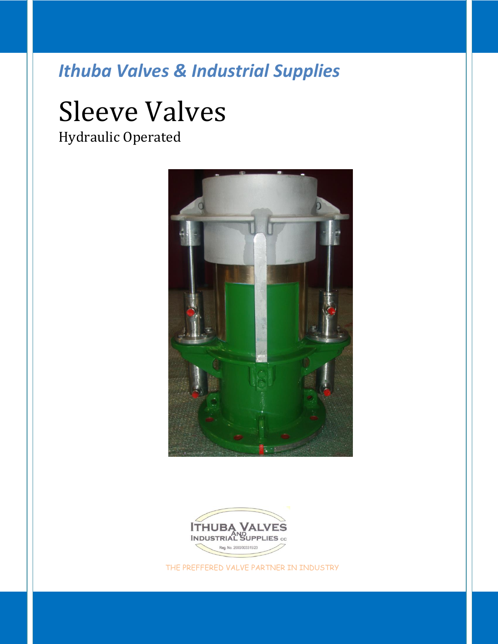# Sleeve Valves Hydraulic Operated





THE PREFFERED VALVE PARTNER IN INDUSTRY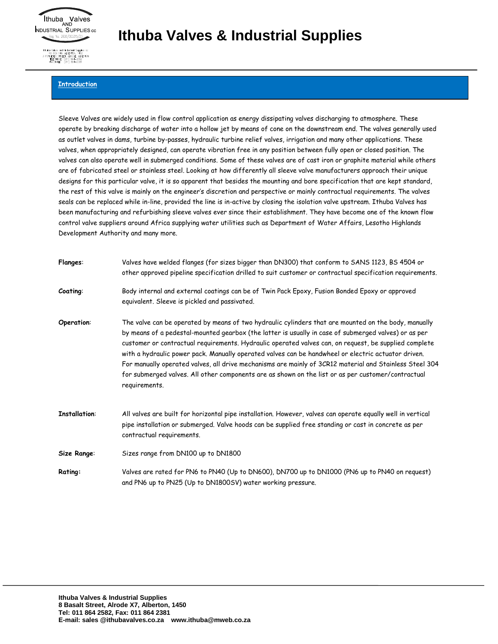

### **Introduction**

Sleeve Valves are widely used in flow control application as energy dissipating valves discharging to atmosphere. These operate by breaking discharge of water into a hollow jet by means of cone on the downstream end. The valves generally used as outlet valves in dams, turbine by-passes, hydraulic turbine relief valves, irrigation and many other applications. These valves, when appropriately designed, can operate vibration free in any position between fully open or closed position. The valves can also operate well in submerged conditions. Some of these valves are of cast iron or graphite material while others are of fabricated steel or stainless steel. Looking at how differently all sleeve valve manufacturers approach their unique designs for this particular valve, it is so apparent that besides the mounting and bore specification that are kept standard, the rest of this valve is mainly on the engineer's discretion and perspective or mainly contractual requirements. The valves seals can be replaced while in-line, provided the line is in-active by closing the isolation valve upstream. Ithuba Valves has been manufacturing and refurbishing sleeve valves ever since their establishment. They have become one of the known flow control valve suppliers around Africa supplying water utilities such as Department of Water Affairs, Lesotho Highlands Development Authority and many more.

| <b>Flanges:</b>      | Valves have welded flanges (for sizes bigger than DN300) that conform to SANS 1123, BS 4504 or<br>other approved pipeline specification drilled to suit customer or contractual specification requirements.                                                                                                                                                                                                                                                                                                                                                                                                                                                    |
|----------------------|----------------------------------------------------------------------------------------------------------------------------------------------------------------------------------------------------------------------------------------------------------------------------------------------------------------------------------------------------------------------------------------------------------------------------------------------------------------------------------------------------------------------------------------------------------------------------------------------------------------------------------------------------------------|
| Coating:             | Body internal and external coatings can be of Twin Pack Epoxy, Fusion Bonded Epoxy or approved<br>equivalent. Sleeve is pickled and passivated.                                                                                                                                                                                                                                                                                                                                                                                                                                                                                                                |
| Operation:           | The valve can be operated by means of two hydraulic cylinders that are mounted on the body, manually<br>by means of a pedestal-mounted gearbox (the latter is usually in case of submerged valves) or as per<br>customer or contractual requirements. Hydraulic operated valves can, on request, be supplied complete<br>with a hydraulic power pack. Manually operated valves can be handwheel or electric actuator driven.<br>For manually operated valves, all drive mechanisms are mainly of 3CR12 material and Stainless Steel 304<br>for submerged valves. All other components are as shown on the list or as per customer/contractual<br>requirements. |
| <b>Installation:</b> | All valves are built for horizontal pipe installation. However, valves can operate equally well in vertical<br>pipe installation or submerged. Valve hoods can be supplied free standing or cast in concrete as per<br>contractual requirements.                                                                                                                                                                                                                                                                                                                                                                                                               |
| Size Range:          | Sizes range from DN100 up to DN1800                                                                                                                                                                                                                                                                                                                                                                                                                                                                                                                                                                                                                            |
| <b>Rating:</b>       | Valves are rated for PN6 to PN40 (Up to DN600), DN700 up to DN1000 (PN6 up to PN40 on request)<br>and PN6 up to PN25 (Up to DN1800SV) water working pressure.                                                                                                                                                                                                                                                                                                                                                                                                                                                                                                  |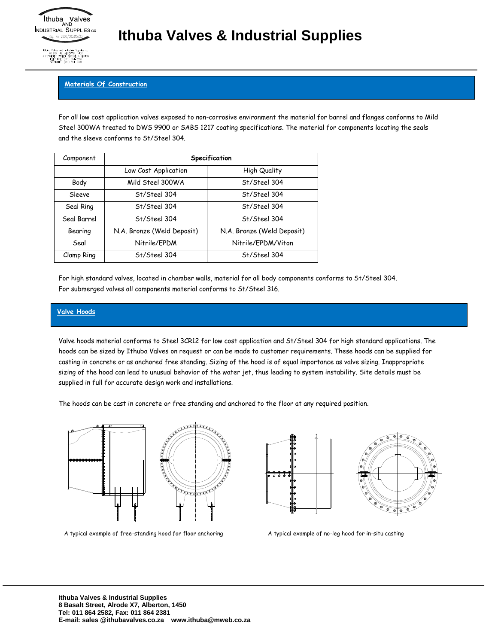#### **Materials Of Construction**

For all low cost application valves exposed to non-corrosive environment the material for barrel and flanges conforms to Mild Steel 300WA treated to DWS 9900 or SABS 1217 coating specifications. The material for components locating the seals and the sleeve conforms to St/Steel 304.

| Component   |                            | Specification              |
|-------------|----------------------------|----------------------------|
|             | Low Cost Application       | High Quality               |
| Body        | Mild Steel 300WA           | St/Steel 304               |
| Sleeve      | St/Steel 304               | St/Steel 304               |
| Seal Ring   | St/Steel 304               | St/Steel 304               |
| Seal Barrel | St/Steel 304               | St/Steel 304               |
| Bearing     | N.A. Bronze (Weld Deposit) | N.A. Bronze (Weld Deposit) |
| Seal        | Nitrile/EPDM               | Nitrile/EPDM/Viton         |
| Clamp Ring  | St/Steel 304               | St/Steel 304               |

For high standard valves, located in chamber walls, material for all body components conforms to St/Steel 304. For submerged valves all components material conforms to St/Steel 316.

#### **Valve Hoods**

Valve hoods material conforms to Steel 3CR12 for low cost application and St/Steel 304 for high standard applications. The hoods can be sized by Ithuba Valves on request or can be made to customer requirements. These hoods can be supplied for casting in concrete or as anchored free standing. Sizing of the hood is of equal importance as valve sizing. Inappropriate sizing of the hood can lead to unusual behavior of the water jet, thus leading to system instability. Site details must be supplied in full for accurate design work and installations.

The hoods can be cast in concrete or free standing and anchored to the floor at any required position.





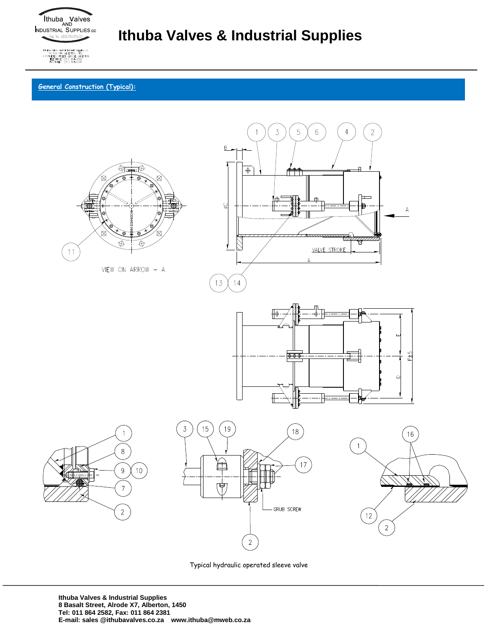

**General Construction (Typical):**



Typical hydraulic operated sleeve valve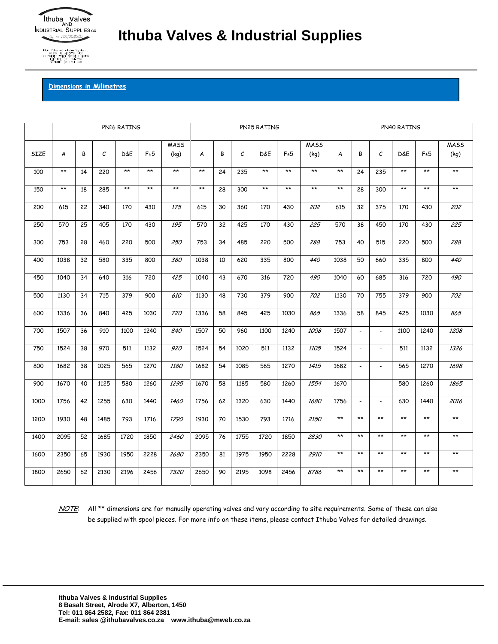

### **Dimensions in Milimetres**

|      |       |    |      | PN16 RATING |      |             |       | PN25 RATING<br>PN40 RATING |              |       |      |              |       |                |                          |       |              |              |
|------|-------|----|------|-------------|------|-------------|-------|----------------------------|--------------|-------|------|--------------|-------|----------------|--------------------------|-------|--------------|--------------|
|      |       |    |      |             |      | <b>MASS</b> |       |                            |              |       |      | <b>MASS</b>  |       |                |                          |       |              | MASS         |
| SIZE | A     | В  | C    | D&E         | F±5  | (kq)        | A     | В                          | $\mathcal C$ | D&E   | F±5  | (kg)         | A     | B              | C                        | D&E   | F±5          | (kg)         |
| 100  | $**$  | 14 | 220  | $**$        | $**$ | $**$        | $**$  | 24                         | 235          | $**$  | $**$ | $**$         | $**$  | 24             | 235                      | $**$  | $**$         | $**$         |
| 150  | $***$ | 18 | 285  | $***$       | $**$ | $**$        | $***$ | 28                         | 300          | $***$ | $**$ | $\star\star$ | $***$ | 28             | 300                      | $***$ | $\star\star$ | $***$        |
| 200  | 615   | 22 | 340  | 170         | 430  | 175         | 615   | 30                         | 360          | 170   | 430  | 202          | 615   | 32             | 375                      | 170   | 430          | 202          |
| 250  | 570   | 25 | 405  | 170         | 430  | 195         | 570   | 32                         | 425          | 170   | 430  | 225          | 570   | 38             | 450                      | 170   | 430          | 225          |
| 300  | 753   | 28 | 460  | 220         | 500  | 250         | 753   | 34                         | 485          | 220   | 500  | 288          | 753   | 40             | 515                      | 220   | 500          | 288          |
| 400  | 1038  | 32 | 580  | 335         | 800  | 380         | 1038  | 10                         | 620          | 335   | 800  | 440          | 1038  | 50             | 660                      | 335   | 800          | 440          |
| 450  | 1040  | 34 | 640  | 316         | 720  | 425         | 1040  | 43                         | 670          | 316   | 720  | 490          | 1040  | 60             | 685                      | 316   | 720          | 490          |
| 500  | 1130  | 34 | 715  | 379         | 900  | 610         | 1130  | 48                         | 730          | 379   | 900  | 702          | 1130  | 70             | 755                      | 379   | 900          | 702          |
| 600  | 1336  | 36 | 840  | 425         | 1030 | 720         | 1336  | 58                         | 845          | 425   | 1030 | 865          | 1336  | 58             | 845                      | 425   | 1030         | 865          |
| 700  | 1507  | 36 | 910  | 1100        | 1240 | 840         | 1507  | 50                         | 960          | 1100  | 1240 | 1008         | 1507  | $\blacksquare$ | $\overline{\phantom{a}}$ | 1100  | 1240         | 1208         |
| 750  | 1524  | 38 | 970  | 511         | 1132 | 920         | 1524  | 54                         | 1020         | 511   | 1132 | 1105         | 1524  | $\blacksquare$ | $\sim$                   | 511   | 1132         | 1326         |
| 800  | 1682  | 38 | 1025 | 565         | 1270 | 1180        | 1682  | 54                         | 1085         | 565   | 1270 | 1415         | 1682  | $\blacksquare$ | $\overline{\phantom{a}}$ | 565   | 1270         | 1698         |
| 900  | 1670  | 40 | 1125 | 580         | 1260 | 1295        | 1670  | 58                         | 1185         | 580   | 1260 | 1554         | 1670  | $\overline{a}$ | ÷.                       | 580   | 1260         | 1865         |
| 1000 | 1756  | 42 | 1255 | 630         | 1440 | 1460        | 1756  | 62                         | 1320         | 630   | 1440 | 1680         | 1756  | $\blacksquare$ | $\mathbf{r}$             | 630   | 1440         | 2016         |
| 1200 | 1930  | 48 | 1485 | 793         | 1716 | 1790        | 1930  | 70                         | 1530         | 793   | 1716 | 2150         | $**$  | $**$           | $**$                     | $***$ | $**$         | $***$        |
| 1400 | 2095  | 52 | 1685 | 1720        | 1850 | 2460        | 2095  | 76                         | 1755         | 1720  | 1850 | 2830         | $**$  | $**$           | $**$                     | $**$  | $**$         | $\star\star$ |
| 1600 | 2350  | 65 | 1930 | 1950        | 2228 | 2680        | 2350  | 81                         | 1975         | 1950  | 2228 | 2910         | $**$  | $**$           | $**$                     | $**$  | $**$         | $\star\star$ |
| 1800 | 2650  | 62 | 2130 | 2196        | 2456 | 7320        | 2650  | 90                         | 2195         | 1098  | 2456 | 8786         | $**$  | $**$           | $**$                     | $**$  | $**$         | $***$        |

NOTE: All \*\* dimensions are for manually operating valves and vary according to site requirements. Some of these can also be supplied with spool pieces. For more info on these items, please contact Ithuba Valves for detailed drawings.